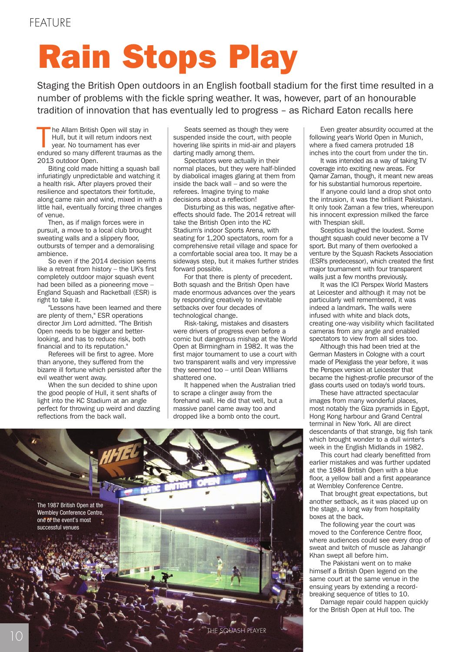# **Rain Stops Play**

Staging the British Open outdoors in an English football stadium for the first time resulted in a number of problems with the fickle spring weather. It was, however, part of an honourable tradition of innovation that has eventually led to progress – as Richard Eaton recalls here

The Allam British Open will stay in<br>Hull, but it will return indoors next<br>year. No tournament has ever<br>endured so many different traumas as the he Allam British Open will stay in Hull, but it will return indoors next year. No tournament has ever 2013 outdoor Open.

Biting cold made hitting a squash ball infuriatingly unpredictable and watching it a health risk. After players proved their resilience and spectators their fortitude, along came rain and wind, mixed in with a little hail, eventually forcing three changes of venue.

Then, as if malign forces were in pursuit, a move to a local club brought sweating walls and a slippery floor, outbursts of temper and a demoralising ambience.

So even if the 2014 decision seems like a retreat from history – the UK's first completely outdoor major squash event had been billed as a pioneering move – England Squash and Racketball (ESR) is right to take it.

"Lessons have been learned and there are plenty of them," ESR operations director Jim Lord admitted. "The British Open needs to be bigger and betterlooking, and has to reduce risk, both financial and to its reputation."

Referees will be first to agree. More than anyone, they suffered from the bizarre ill fortune which persisted after the evil weather went away.

When the sun decided to shine upon the good people of Hull, it sent shafts of light into the KC Stadium at an angle perfect for throwing up weird and dazzling reflections from the back wall.

Seats seemed as though they were suspended inside the court, with people hovering like spirits in mid-air and players darting madly among them.

Spectators were actually in their normal places, but they were half-blinded by diabolical images glaring at them from inside the back wall – and so were the referees. Imagine trying to make decisions about a reflection!

Disturbing as this was, negative aftereffects should fade. The 2014 retreat will take the British Open into the KC Stadium's indoor Sports Arena, with seating for 1,200 spectators, room for a comprehensive retail village and space for a comfortable social area too. It may be a sideways step, but it makes further strides forward possible.

For that there is plenty of precedent. Both squash and the British Open have made enormous advances over the years by responding creatively to inevitable setbacks over four decades of technological change.

Risk-taking, mistakes and disasters were drivers of progress even before a comic but dangerous mishap at the World Open at Birmingham in 1982. It was the first major tournament to use a court with two transparent walls and very impressive they seemed too – until Dean WIlliams shattered one.

It happened when the Australian tried to scrape a clinger away from the forehand wall. He did that well, but a massive panel came away too and dropped like a bomb onto the court.



Even greater absurdity occurred at the following year's World Open in Munich, where a fixed camera protruded 18 inches into the court from under the tin.

It was intended as a way of taking TV coverage into exciting new areas. For Qamar Zaman, though, it meant new areas for his substantial humorous repertoire.

If anyone could land a drop shot onto the intrusion, it was the brilliant Pakistani. It only took Zaman a few tries, whereupon his innocent expression milked the farce with Thespian skill.

Sceptics laughed the loudest. Some thought squash could never become a TV sport. But many of them overlooked a venture by the Squash Rackets Association (ESR's predecessor), which created the first major tournament with four transparent walls just a few months previously.

It was the ICI Perspex World Masters at Leicester and although it may not be particularly well remembered, it was indeed a landmark. The walls were infused with white and black dots, creating one-way visibility which facilitated cameras from any angle and enabled spectators to view from all sides too.

Although this had been tried at the German Masters in Cologne with a court made of Plexiglass the year before, it was the Perspex version at Leicester that became the highest-profile precursor of the glass courts used on today's world tours.

These have attracted spectacular images from many wonderful places, most notably the Giza pyramids in Egypt, Hong Kong harbour and Grand Central terminal in New York. All are direct descendants of that strange, big fish tank which brought wonder to a dull winter's week in the English Midlands in 1982.

This court had clearly benefitted from earlier mistakes and was further updated at the 1984 British Open with a blue floor, a yellow ball and a first appearance at Wembley Conference Centre.

That brought great expectations, but another setback, as it was placed up on the stage, a long way from hospitality boxes at the back.

The following year the court was moved to the Conference Centre floor, where audiences could see every drop of sweat and twitch of muscle as Jahangir Khan swept all before him.

The Pakistani went on to make himself a British Open legend on the same court at the same venue in the ensuing years by extending a recordbreaking sequence of titles to 10.

Damage repair could happen quickly for the British Open at Hull too. The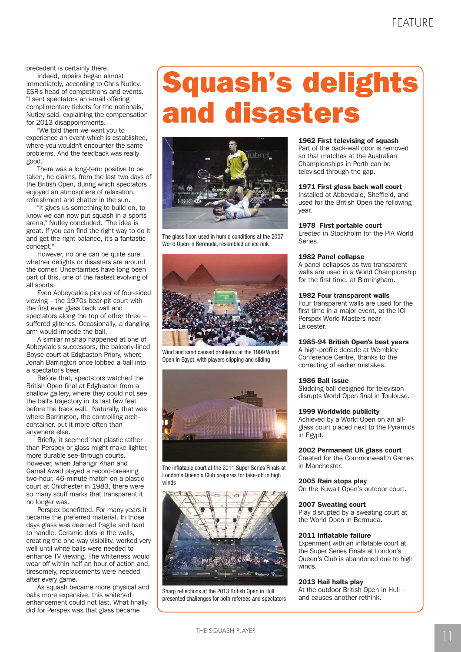**precedent is certainly there.** 

Indeed, repairs began almost immediately, according to Chris Nutley, ESR's head of competitions and events. "I sent spectators an email offering complimentary tickets for the nationals," Nutley said, explaining the compensation for 2013 disappointments.

"We told them we want you to experience an event which is established, where you wouldn't encounter the same problems. And the feedback was really good."

There was a long-term positive to be taken, he claims, from the last two days of the British Open, during which spectators enjoyed an atmosphere of relaxation, refreshment and chatter in the sun.

"It gives us something to build on, to know we can now put squash in a sports arena," Nutley concluded. "The idea is great. If you can find the right way to do it and get the right balance, it's a fantastic concept."

However, no one can be quite sure whether delights or disasters are around the corner. Uncertainties have long been part of this, one of the fastest evolving of all sports.

Even Abbeydale's pioneer of four-sided viewing – the 1970s bear-pit court with the first ever glass back wall and spectators along the top of other three – suffered glitches. Occasionally, a dangling arm would impede the ball.

A similar mishap happened at one of Abbeydale's successors, the balcony-lined Boyse court at Edgbaston Priory, where Jonah Barrington once lobbed a ball into a spectator's beer.

Before that, spectators watched the British Open final at Edgbaston from a shallow gallery, where they could not see the ball's trajectory in its last few feet before the back wall. Naturally, that was where Barrington, the controlling archcontainer, put it more often than anywhere else.

Briefly, it seemed that plastic rather than Perspex or glass might make lighter, more durable see-through courts. However, when Jahangir Khan and Gamal Awad played a record-breaking two-hour, 46-minute match on a plastic court at Chichester in 1983, there were so many scuff marks that transparent it no longer was.

Perspex benefitted. For many years it became the preferred material. In those days glass was deemed fragile and hard to handle. Ceramic dots in the walls, creating the one-way visibility, worked very well until white balls were needed to enhance TV viewing. The whiteness would wear off within half an hour of action and, tiresomely, replacements were needed after every game.

As squash became more physical and balls more expensive, this whitened enhancement could not last. What finally did for Perspex was that glass became

## **Squash's delights and disasters**



The glass floor, used in humid conditions at the 2007 World Open in Bermuda, resembled an ice rink



Wind and sand caused problems at the 1999 World Open in Egypt, with players slipping and sliding



The inflatable court at the 2011 Super Series Finals at London's Queen's Club prepares for take-off in high winds



Sharp reflections at the 2013 British Open in Hull presented challenges for both referees and spectators

#### **1962 First televising of squash**

Part of the back-wall door is removed so that matches at the Australian Championships in Perth can be televised through the gap.

#### **1971 First glass back wall court**

Installed at Abbeydale, Sheffield, and used for the British Open the following year.

#### **1978 First portable court**

Erected in Stockholm for the PIA World Series.

#### **1982 Panel collapse**

A panel collapses as two transparent walls are used in a World Championship for the first time, at Birmingham.

#### **1982 Four transparent walls**

Four transparent walls are used for the first time in a major event, at the ICI Perspex World Masters near Leicester.

#### **1985-94 British Open's best years**

A high-profile decade at Wembley Conference Centre, thanks to the correcting of earlier mistakes.

#### **1986 Ball issue**

Skidding ball designed for television disrupts World Open final in Toulouse.

#### **1999 Worldwide publicity**

Achieved by a World Open on an allglass court placed next to the Pyramids in Egypt.

#### **2002 Permanent UK glass court**

Created for the Commonwealth Games in Manchester.

#### **2005 Rain stops play**

On the Kuwait Open's outdoor court.

#### **2007 Sweating court**

Play disrupted by a sweating court at the World Open in Bermuda.

#### **2011 Inflatable failure**

Experiment with an inflatable court at the Super Series Finals at London's Queen's Club is abandoned due to high winds.

#### **2013 Hail halts play**

At the outdoor British Open in Hull – and causes another rethink.